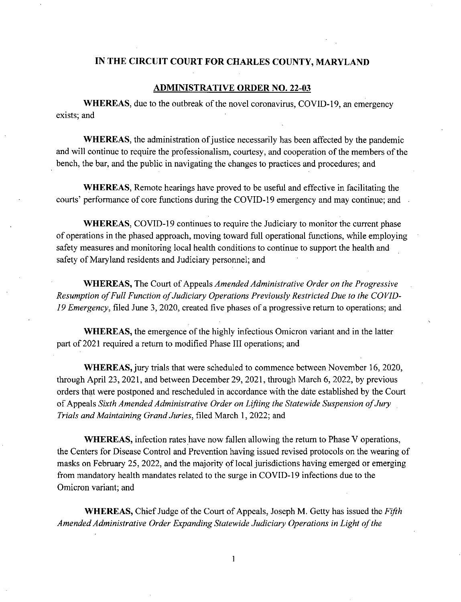## **IN THE CIRCUIT COURT FOR CHARLES COUNTY, MARYLAND**

## **ADMINISTRATIVE ORDER NO. 22-03**

**WHEREAS,** due to the outbreak of the novel coronavirus, COVID-19, an emergency exists; and

**WHEREAS,** the administration of justice necessarily has been affected by the pandemic and will continue to require the professionalism, courtesy, and cooperation of the members of the bench, the bar, and the public in navigating the changes to practices and procedures; and

**WHEREAS,** Remote hearings have proved to be useful and effective in facilitating the courts' performance of core functions during the COVID-19 emergency and may continue; and

**WHEREAS,** COVID-19 continues to require the Judiciary to monitor the current phase of operations in the phased approach, moving toward full operational functions, while employing safety measures and monitoring local health conditions to continue to support the health and safety of Maryland residents and Judiciary personnel; and

**WHEREAS,** The Court of Appeals *Amended Administrative Order on the Progressive Resumption of Full Function of Judiciary Operations Previously Restricted Due to the COVID-19 Emergency,* filed June 3, 2020, created five phases of a progressive return to operations; and

**WHEREAS,** the emergence of the highly infectious Omicron variant and in the latter part of 2021 required a return to modified Phase III operations; and

**WHEREAS,** jury trials that were scheduled to commence between November 16, 2020, through April 23, 2021, and between December 29, 2021, through March 6, 2022, by previous orders that were postponed and rescheduled in accordance with the date established by the Court of Appeals *Sixth Amended Administrative Order on Lifting the Statewide Suspension of Jury Trials and Maintaining Grand Juries,* filed March 1,2022; and

**WHEREAS,** infection rates have now fallen allowing the return to Phase V operations, the Centers for Disease Control and Prevention having issued revised protocols on the wearing of masks on February 25, 2022, and the majority of local jurisdictions having emerged or emerging from mandatory health mandates related to the surge in COVID-19 infections due to the Omicron variant; and

**WHEREAS,** Chief Judge of the Court of Appeals, Joseph M. Getty has issued the *Fifth Amended Administrative Order Expanding Statewide Judiciary Operations in Light of the* 

1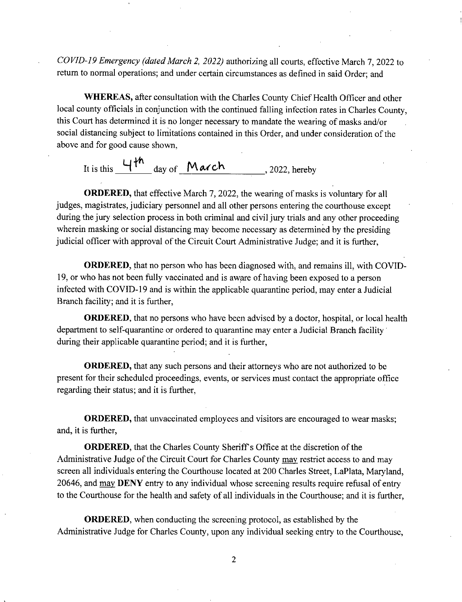*COVID-19 Emergency (dated March Z 2022)* authorizing all courts, effective March 7, 2022 to return to normal operations; and under certain circumstances as defined in said Order; and

**WHEREAS,** after consultation with the Charles County Chief Health Officer and other local county officials in conjunction with the continued falling infection rates in Charles County, this Court has determined it is no longer necessary to mandate the wearing of masks and/or social distancing subject to limitations contained in this Order, and under consideration of the above and for good cause shown,

It is this  $\frac{4\pi}{\omega}$  day of  $M \alpha c h$ , 2022, hereby

**ORDERED,** that effective March 7, 2022, the wearing of masks is voluntary for all judges, magistrates, judiciary personnel and all other persons entering the courthouse except during the jury selection process in both criminal and civil jury trials and any other proceeding wherein masking or social distancing may become necessary as determined by the presiding judicial officer with approval of the Circuit Court Administrative Judge; and it is further,

**ORDERED,** that no person who has been diagnosed with, and remains ill, with COVID-19, or who has not been fully vaccinated and is aware of having been exposed to a person infected with COVID-19 and is within the applicable quarantine period, may enter a Judicial Branch facility; and it is further,

**ORDERED**, that no persons who have been advised by a doctor, hospital, or local health department to self-quarantine or ordered to quarantine may enter a Judicial Branch facility during their applicable quarantine period; and it is further,

**ORDERED,** that any such persons and their attorneys who are not authorized to be present for their scheduled proceedings, events, or services must contact the appropriate office regarding their status; and it is further,

**ORDERED,** that unvaccinated employees and visitors are encouraged to wear masks; and, it is further,

**ORDERED,** that the Charles County Sheriff's Office at the discretion of the Administrative Judge of the Circuit Court for Charles County may restrict access to and may screen all individuals entering the Courthouse located at 200 Charles Street, LaPlata, Maryland, 20646, and may **DENY** entry to any individual whose screening results require refusal of entry to the Courthouse for the health and safety of all individuals in the Courthouse; and it is further,

**ORDERED,** when conducting the screening protocol, as established by the Administrative Judge for Charles County, upon any individual seeking entry to the Courthouse,

2